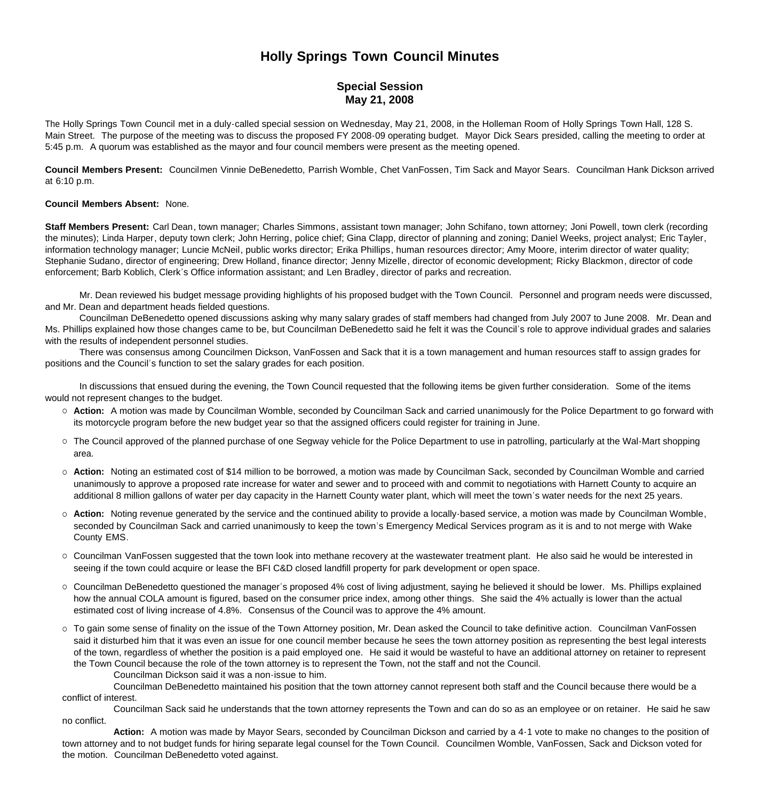## **Holly Springs Town Council Minutes**

## **Special Session May 21, 2008**

The Holly Springs Town Council met in a duly-called special session on Wednesday, May 21, 2008, in the Holleman Room of Holly Springs Town Hall, 128 S. Main Street. The purpose of the meeting was to discuss the proposed FY 2008-09 operating budget. Mayor Dick Sears presided, calling the meeting to order at 5:45 p.m. A quorum was established as the mayor and four council members were present as the meeting opened.

**Council Members Present:** Councilmen Vinnie DeBenedetto, Parrish Womble, Chet VanFossen, Tim Sack and Mayor Sears. Councilman Hank Dickson arrived at 6:10 p.m.

## **Council Members Absent:** None.

**Staff Members Present:** Carl Dean, town manager; Charles Simmons, assistant town manager; John Schifano, town attorney; Joni Powell, town clerk (recording the minutes); Linda Harper, deputy town clerk; John Herring, police chief; Gina Clapp, director of planning and zoning; Daniel Weeks, project analyst; Eric Tayler, information technology manager; Luncie McNeil, public works director; Erika Phillips, human resources director; Amy Moore, interim director of water quality; Stephanie Sudano, director of engineering; Drew Holland, finance director; Jenny Mizelle, director of economic development; Ricky Blackmon, director of code enforcement; Barb Koblich, Clerk's Office information assistant; and Len Bradley, director of parks and recreation.

 Mr. Dean reviewed his budget message providing highlights of his proposed budget with the Town Council. Personnel and program needs were discussed, and Mr. Dean and department heads fielded questions.

 Councilman DeBenedetto opened discussions asking why many salary grades of staff members had changed from July 2007 to June 2008. Mr. Dean and Ms. Phillips explained how those changes came to be, but Councilman DeBenedetto said he felt it was the Council's role to approve individual grades and salaries with the results of independent personnel studies.

 There was consensus among Councilmen Dickson, VanFossen and Sack that it is a town management and human resources staff to assign grades for positions and the Council's function to set the salary grades for each position.

 In discussions that ensued during the evening, the Town Council requested that the following items be given further consideration. Some of the items would not represent changes to the budget.

- **Action:** A motion was made by Councilman Womble, seconded by Councilman Sack and carried unanimously for the Police Department to go forward with its motorcycle program before the new budget year so that the assigned officers could register for training in June.
- o The Council approved of the planned purchase of one Segway vehicle for the Police Department to use in patrolling, particularly at the Wal-Mart shopping area.
- **Action:** Noting an estimated cost of \$14 million to be borrowed, a motion was made by Councilman Sack, seconded by Councilman Womble and carried unanimously to approve a proposed rate increase for water and sewer and to proceed with and commit to negotiations with Harnett County to acquire an additional 8 million gallons of water per day capacity in the Harnett County water plant, which will meet the town's water needs for the next 25 years.
- **Action:** Noting revenue generated by the service and the continued ability to provide a locally-based service, a motion was made by Councilman Womble, seconded by Councilman Sack and carried unanimously to keep the town's Emergency Medical Services program as it is and to not merge with Wake County EMS.
- o Councilman VanFossen suggested that the town look into methane recovery at the wastewater treatment plant. He also said he would be interested in seeing if the town could acquire or lease the BFI C&D closed landfill property for park development or open space.
- o Councilman DeBenedetto questioned the manager's proposed 4% cost of living adjustment, saying he believed it should be lower. Ms. Phillips explained how the annual COLA amount is figured, based on the consumer price index, among other things. She said the 4% actually is lower than the actual estimated cost of living increase of 4.8%. Consensus of the Council was to approve the 4% amount.
- To gain some sense of finality on the issue of the Town Attorney position, Mr. Dean asked the Council to take definitive action. Councilman VanFossen said it disturbed him that it was even an issue for one council member because he sees the town attorney position as representing the best legal interests of the town, regardless of whether the position is a paid employed one. He said it would be wasteful to have an additional attorney on retainer to represent the Town Council because the role of the town attorney is to represent the Town, not the staff and not the Council.

Councilman Dickson said it was a non-issue to him.

 Councilman DeBenedetto maintained his position that the town attorney cannot represent both staff and the Council because there would be a conflict of interest.

 Councilman Sack said he understands that the town attorney represents the Town and can do so as an employee or on retainer. He said he saw no conflict.

 **Action:** A motion was made by Mayor Sears, seconded by Councilman Dickson and carried by a 4-1 vote to make no changes to the position of town attorney and to not budget funds for hiring separate legal counsel for the Town Council. Councilmen Womble, VanFossen, Sack and Dickson voted for the motion. Councilman DeBenedetto voted against.